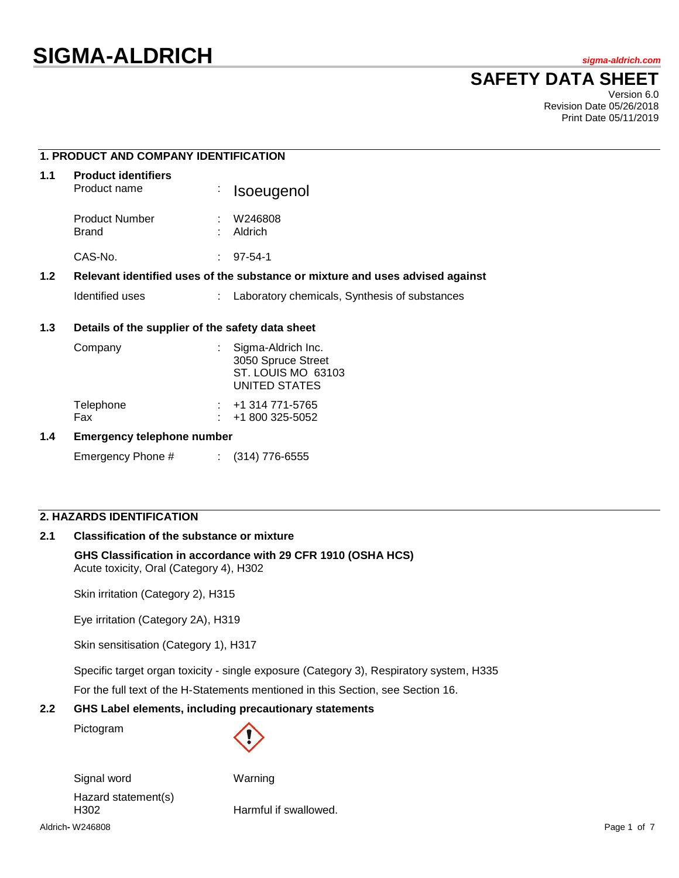# **SAFETY DATA SHEET**

Version 6.0 Revision Date 05/26/2018 Print Date 05/11/2019

|                  | <b>1. PRODUCT AND COMPANY IDENTIFICATION</b>                                  |    |                                                                                 |  |
|------------------|-------------------------------------------------------------------------------|----|---------------------------------------------------------------------------------|--|
| 1.1              | <b>Product identifiers</b><br>Product name                                    | ÷. | Isoeugenol                                                                      |  |
|                  | <b>Product Number</b><br><b>Brand</b>                                         |    | W246808<br>Aldrich                                                              |  |
|                  | CAS-No.                                                                       | ÷. | $97 - 54 - 1$                                                                   |  |
| 1.2 <sub>2</sub> | Relevant identified uses of the substance or mixture and uses advised against |    |                                                                                 |  |
|                  | Identified uses                                                               | ÷. | Laboratory chemicals, Synthesis of substances                                   |  |
| 1.3              | Details of the supplier of the safety data sheet                              |    |                                                                                 |  |
|                  | Company                                                                       |    | Sigma-Aldrich Inc.<br>3050 Spruce Street<br>ST. LOUIS MO 63103<br>UNITED STATES |  |
|                  | Telephone                                                                     |    | +1 314 771-5765                                                                 |  |

### **1.4 Emergency telephone number**

Emergency Phone # : (314) 776-6555

Fax : +1 800 325-5052

# **2. HAZARDS IDENTIFICATION**

#### **2.1 Classification of the substance or mixture**

### **GHS Classification in accordance with 29 CFR 1910 (OSHA HCS)** Acute toxicity, Oral (Category 4), H302

Skin irritation (Category 2), H315

Eye irritation (Category 2A), H319

Skin sensitisation (Category 1), H317

Specific target organ toxicity - single exposure (Category 3), Respiratory system, H335

For the full text of the H-Statements mentioned in this Section, see Section 16.

### **2.2 GHS Label elements, including precautionary statements**

Pictogram



Aldrich**-** W246808 Page 1 of 7 Signal word Warning Hazard statement(s) H302 Harmful if swallowed.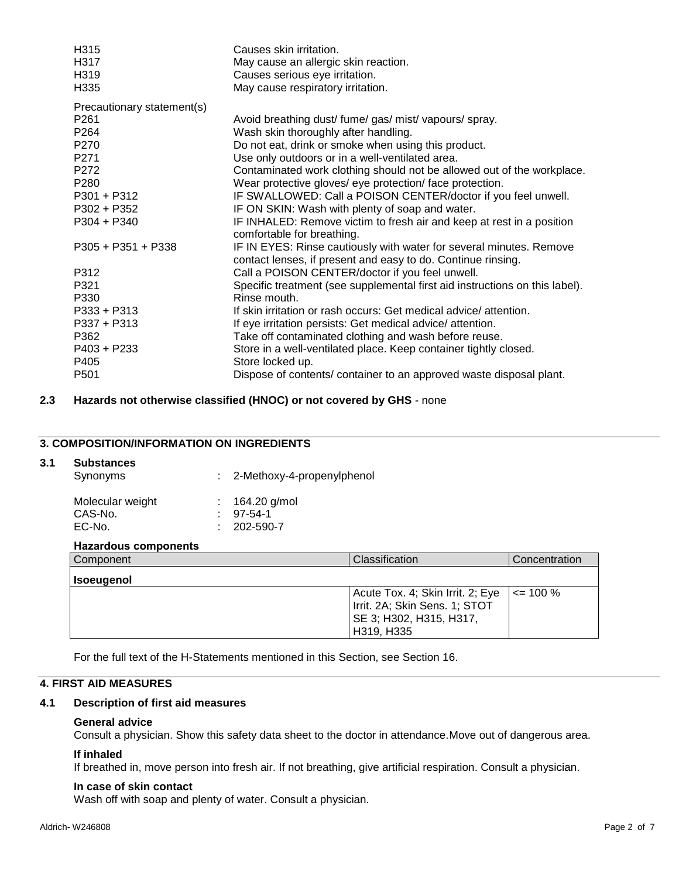| H315                       | Causes skin irritation.                                                                                                             |
|----------------------------|-------------------------------------------------------------------------------------------------------------------------------------|
| H317                       | May cause an allergic skin reaction.                                                                                                |
| H319                       | Causes serious eye irritation.                                                                                                      |
| H335                       | May cause respiratory irritation.                                                                                                   |
| Precautionary statement(s) |                                                                                                                                     |
| P261                       | Avoid breathing dust/ fume/ gas/ mist/ vapours/ spray.                                                                              |
| P264                       | Wash skin thoroughly after handling.                                                                                                |
| P270                       | Do not eat, drink or smoke when using this product.                                                                                 |
| P271                       | Use only outdoors or in a well-ventilated area.                                                                                     |
| P272                       | Contaminated work clothing should not be allowed out of the workplace.                                                              |
| P <sub>280</sub>           | Wear protective gloves/ eye protection/ face protection.                                                                            |
| $P301 + P312$              | IF SWALLOWED: Call a POISON CENTER/doctor if you feel unwell.                                                                       |
| $P302 + P352$              | IF ON SKIN: Wash with plenty of soap and water.                                                                                     |
| $P304 + P340$              | IF INHALED: Remove victim to fresh air and keep at rest in a position<br>comfortable for breathing.                                 |
| $P305 + P351 + P338$       | IF IN EYES: Rinse cautiously with water for several minutes. Remove<br>contact lenses, if present and easy to do. Continue rinsing. |
| P312                       | Call a POISON CENTER/doctor if you feel unwell.                                                                                     |
| P321                       | Specific treatment (see supplemental first aid instructions on this label).                                                         |
| P330                       | Rinse mouth.                                                                                                                        |
| $P333 + P313$              | If skin irritation or rash occurs: Get medical advice/attention.                                                                    |
| $P337 + P313$              | If eye irritation persists: Get medical advice/ attention.                                                                          |
| P362                       | Take off contaminated clothing and wash before reuse.                                                                               |
| P403 + P233                | Store in a well-ventilated place. Keep container tightly closed.                                                                    |
| P405                       | Store locked up.                                                                                                                    |
| P501                       | Dispose of contents/ container to an approved waste disposal plant.                                                                 |
|                            |                                                                                                                                     |

**2.3 Hazards not otherwise classified (HNOC) or not covered by GHS** - none

# **3. COMPOSITION/INFORMATION ON INGREDIENTS**

### **3.1 Substances**

| Molecular weight<br>$: 164.20$ g/mol              |
|---------------------------------------------------|
| CAS-No.<br>97-54-1<br>EC-No.<br>$: 202 - 590 - 7$ |

### **Hazardous components**

| <b>Component</b>  | Classification                                                                                             | Concentration |
|-------------------|------------------------------------------------------------------------------------------------------------|---------------|
| <b>Isoeugenol</b> |                                                                                                            |               |
|                   | Acute Tox. 4; Skin Irrit. 2; Eye<br>Irrit. 2A; Skin Sens. 1; STOT<br>SE 3; H302, H315, H317,<br>H319, H335 | $\leq$ 100 %  |

For the full text of the H-Statements mentioned in this Section, see Section 16.

# **4. FIRST AID MEASURES**

#### **4.1 Description of first aid measures**

#### **General advice**

Consult a physician. Show this safety data sheet to the doctor in attendance.Move out of dangerous area.

#### **If inhaled**

If breathed in, move person into fresh air. If not breathing, give artificial respiration. Consult a physician.

#### **In case of skin contact**

Wash off with soap and plenty of water. Consult a physician.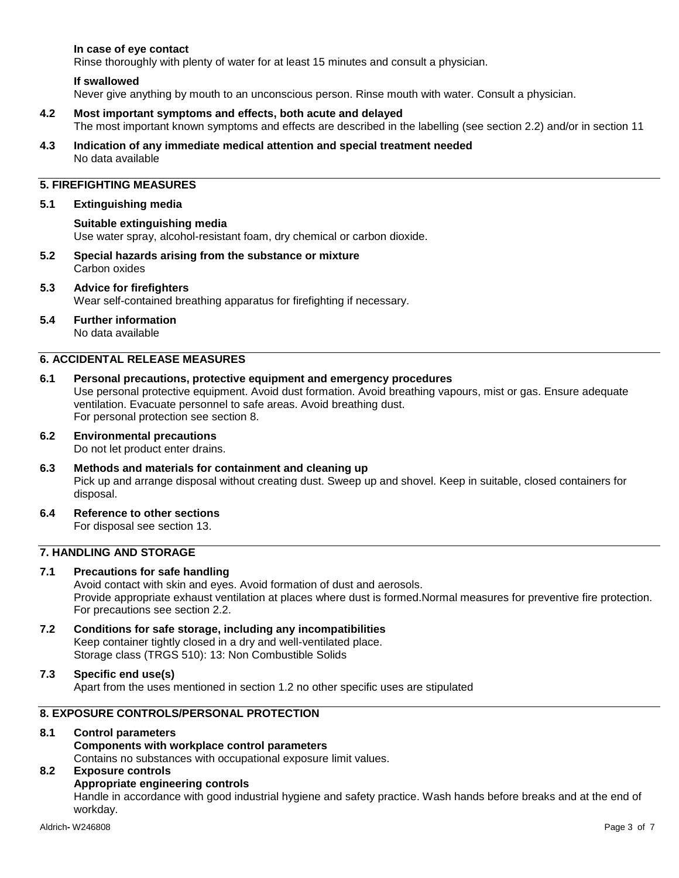### **In case of eye contact**

Rinse thoroughly with plenty of water for at least 15 minutes and consult a physician.

#### **If swallowed**

Never give anything by mouth to an unconscious person. Rinse mouth with water. Consult a physician.

- **4.2 Most important symptoms and effects, both acute and delayed** The most important known symptoms and effects are described in the labelling (see section 2.2) and/or in section 11
- **4.3 Indication of any immediate medical attention and special treatment needed** No data available

# **5. FIREFIGHTING MEASURES**

#### **5.1 Extinguishing media**

#### **Suitable extinguishing media**

Use water spray, alcohol-resistant foam, dry chemical or carbon dioxide.

**5.2 Special hazards arising from the substance or mixture** Carbon oxides

#### **5.3 Advice for firefighters**

Wear self-contained breathing apparatus for firefighting if necessary.

#### **5.4 Further information**

No data available

### **6. ACCIDENTAL RELEASE MEASURES**

**6.1 Personal precautions, protective equipment and emergency procedures**

Use personal protective equipment. Avoid dust formation. Avoid breathing vapours, mist or gas. Ensure adequate ventilation. Evacuate personnel to safe areas. Avoid breathing dust. For personal protection see section 8.

# **6.2 Environmental precautions**

Do not let product enter drains.

- **6.3 Methods and materials for containment and cleaning up** Pick up and arrange disposal without creating dust. Sweep up and shovel. Keep in suitable, closed containers for disposal.
- **6.4 Reference to other sections**

For disposal see section 13.

# **7. HANDLING AND STORAGE**

### **7.1 Precautions for safe handling**

Avoid contact with skin and eyes. Avoid formation of dust and aerosols. Provide appropriate exhaust ventilation at places where dust is formed.Normal measures for preventive fire protection. For precautions see section 2.2.

**7.2 Conditions for safe storage, including any incompatibilities** Keep container tightly closed in a dry and well-ventilated place. Storage class (TRGS 510): 13: Non Combustible Solids

#### **7.3 Specific end use(s)** Apart from the uses mentioned in section 1.2 no other specific uses are stipulated

# **8. EXPOSURE CONTROLS/PERSONAL PROTECTION**

### **8.1 Control parameters**

#### **Components with workplace control parameters**

Contains no substances with occupational exposure limit values.

# **8.2 Exposure controls**

#### **Appropriate engineering controls**

Handle in accordance with good industrial hygiene and safety practice. Wash hands before breaks and at the end of workday.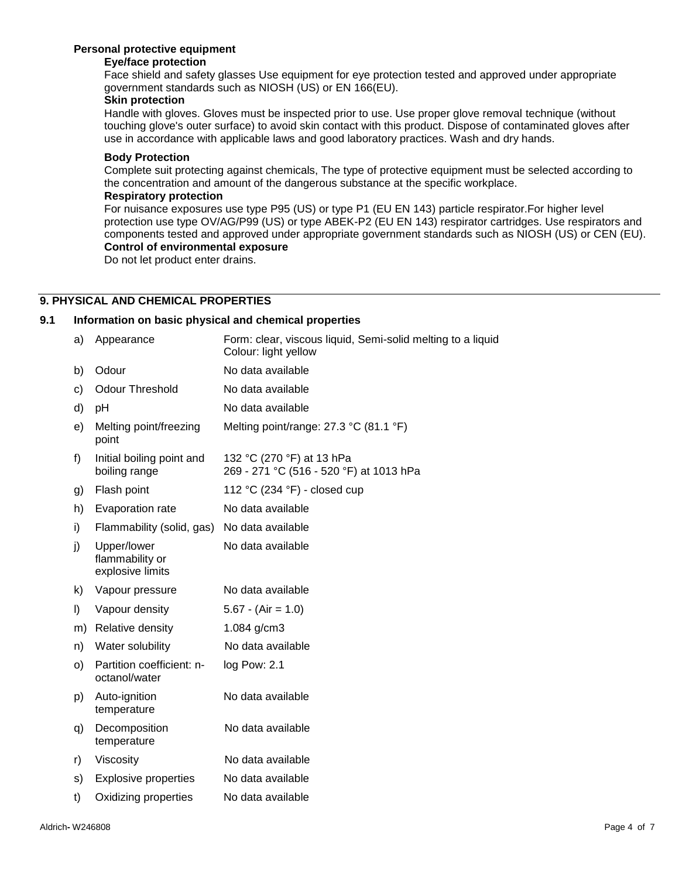### **Personal protective equipment**

### **Eye/face protection**

Face shield and safety glasses Use equipment for eye protection tested and approved under appropriate government standards such as NIOSH (US) or EN 166(EU).

### **Skin protection**

Handle with gloves. Gloves must be inspected prior to use. Use proper glove removal technique (without touching glove's outer surface) to avoid skin contact with this product. Dispose of contaminated gloves after use in accordance with applicable laws and good laboratory practices. Wash and dry hands.

#### **Body Protection**

Complete suit protecting against chemicals, The type of protective equipment must be selected according to the concentration and amount of the dangerous substance at the specific workplace.

### **Respiratory protection**

For nuisance exposures use type P95 (US) or type P1 (EU EN 143) particle respirator.For higher level protection use type OV/AG/P99 (US) or type ABEK-P2 (EU EN 143) respirator cartridges. Use respirators and components tested and approved under appropriate government standards such as NIOSH (US) or CEN (EU). **Control of environmental exposure**

Do not let product enter drains.

# **9. PHYSICAL AND CHEMICAL PROPERTIES**

#### **9.1 Information on basic physical and chemical properties**

| a)      | Appearance                                         | Form: clear, viscous liquid, Semi-solid melting to a liquid<br>Colour: light yellow |
|---------|----------------------------------------------------|-------------------------------------------------------------------------------------|
| b)      | Odour                                              | No data available                                                                   |
| c)      | <b>Odour Threshold</b>                             | No data available                                                                   |
| d)      | рH                                                 | No data available                                                                   |
| e)      | Melting point/freezing<br>point                    | Melting point/range: 27.3 °C (81.1 °F)                                              |
| f)      | Initial boiling point and<br>boiling range         | 132 °C (270 °F) at 13 hPa<br>269 - 271 °C (516 - 520 °F) at 1013 hPa                |
| g)      | Flash point                                        | 112 °C (234 °F) - closed cup                                                        |
| h)      | Evaporation rate                                   | No data available                                                                   |
| i)      | Flammability (solid, gas)                          | No data available                                                                   |
| j)      | Upper/lower<br>flammability or<br>explosive limits | No data available                                                                   |
| k)      | Vapour pressure                                    | No data available                                                                   |
| $\vert$ | Vapour density                                     | $5.67 - (Air = 1.0)$                                                                |
| m)      | Relative density                                   | 1.084 g/cm3                                                                         |
| n)      | Water solubility                                   | No data available                                                                   |
| o)      | Partition coefficient: n-<br>octanol/water         | log Pow: 2.1                                                                        |
| p)      | Auto-ignition<br>temperature                       | No data available                                                                   |
| q)      | Decomposition<br>temperature                       | No data available                                                                   |
| r)      | Viscosity                                          | No data available                                                                   |
| s)      | <b>Explosive properties</b>                        | No data available                                                                   |
| t)      | Oxidizing properties                               | No data available                                                                   |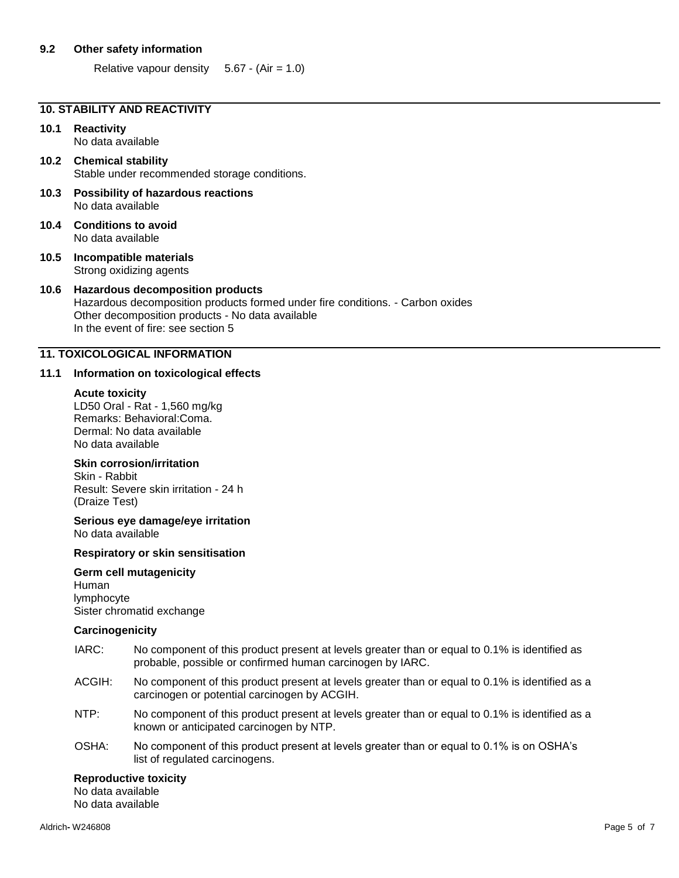#### **9.2 Other safety information**

Relative vapour density  $5.67 - (Air = 1.0)$ 

### **10. STABILITY AND REACTIVITY**

# **10.1 Reactivity**

No data available

#### **10.2 Chemical stability** Stable under recommended storage conditions.

- **10.3 Possibility of hazardous reactions** No data available
- **10.4 Conditions to avoid** No data available
- **10.5 Incompatible materials** Strong oxidizing agents

### **10.6 Hazardous decomposition products**

Hazardous decomposition products formed under fire conditions. - Carbon oxides Other decomposition products - No data available In the event of fire: see section 5

### **11. TOXICOLOGICAL INFORMATION**

#### **11.1 Information on toxicological effects**

#### **Acute toxicity**

LD50 Oral - Rat - 1,560 mg/kg Remarks: Behavioral:Coma. Dermal: No data available No data available

#### **Skin corrosion/irritation**

Skin - Rabbit Result: Severe skin irritation - 24 h (Draize Test)

**Serious eye damage/eye irritation** No data available

#### **Respiratory or skin sensitisation**

#### **Germ cell mutagenicity** Human lymphocyte Sister chromatid exchange

# **Carcinogenicity**

- IARC: No component of this product present at levels greater than or equal to 0.1% is identified as probable, possible or confirmed human carcinogen by IARC.
- ACGIH: No component of this product present at levels greater than or equal to 0.1% is identified as a carcinogen or potential carcinogen by ACGIH.
- NTP: No component of this product present at levels greater than or equal to 0.1% is identified as a known or anticipated carcinogen by NTP.
- OSHA: No component of this product present at levels greater than or equal to 0.1% is on OSHA's list of regulated carcinogens.

#### **Reproductive toxicity**

No data available No data available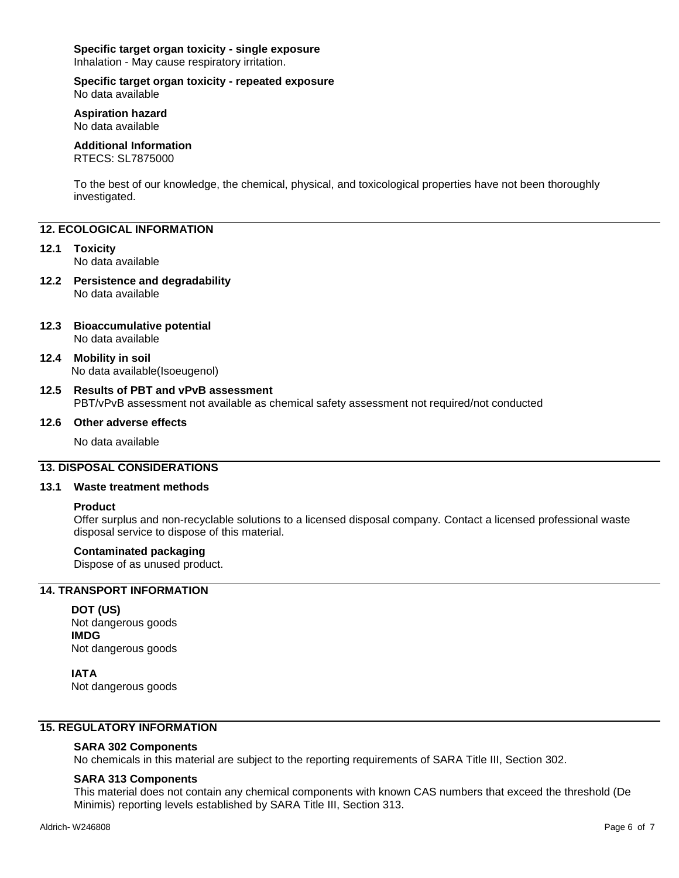# **Specific target organ toxicity - single exposure**

Inhalation - May cause respiratory irritation.

#### **Specific target organ toxicity - repeated exposure** No data available

**Aspiration hazard** No data available

### **Additional Information**

RTECS: SL7875000

To the best of our knowledge, the chemical, physical, and toxicological properties have not been thoroughly investigated.

### **12. ECOLOGICAL INFORMATION**

### **12.1 Toxicity**

No data available

**12.2 Persistence and degradability** No data available

#### **12.3 Bioaccumulative potential** No data available

**12.4 Mobility in soil** No data available(Isoeugenol)

#### **12.5 Results of PBT and vPvB assessment** PBT/vPvB assessment not available as chemical safety assessment not required/not conducted

#### **12.6 Other adverse effects**

No data available

### **13. DISPOSAL CONSIDERATIONS**

#### **13.1 Waste treatment methods**

#### **Product**

Offer surplus and non-recyclable solutions to a licensed disposal company. Contact a licensed professional waste disposal service to dispose of this material.

#### **Contaminated packaging**

Dispose of as unused product.

# **14. TRANSPORT INFORMATION**

**DOT (US)** Not dangerous goods **IMDG** Not dangerous goods

**IATA** Not dangerous goods

### **15. REGULATORY INFORMATION**

#### **SARA 302 Components**

No chemicals in this material are subject to the reporting requirements of SARA Title III, Section 302.

#### **SARA 313 Components**

This material does not contain any chemical components with known CAS numbers that exceed the threshold (De Minimis) reporting levels established by SARA Title III, Section 313.